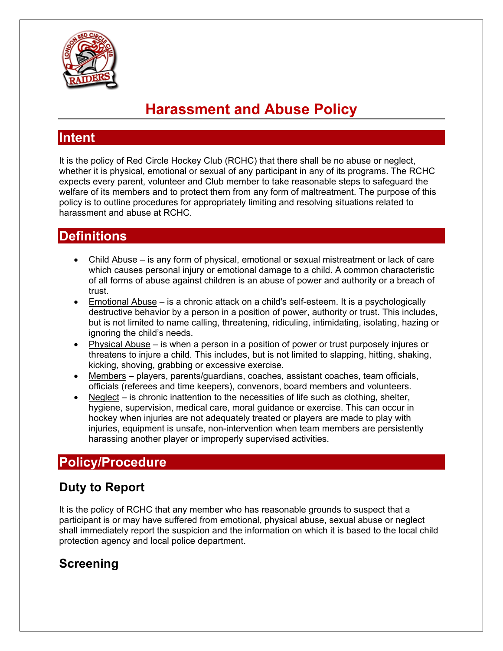

# **Harassment and Abuse Policy**

#### **Intent**

It is the policy of Red Circle Hockey Club (RCHC) that there shall be no abuse or neglect, whether it is physical, emotional or sexual of any participant in any of its programs. The RCHC expects every parent, volunteer and Club member to take reasonable steps to safeguard the welfare of its members and to protect them from any form of maltreatment. The purpose of this policy is to outline procedures for appropriately limiting and resolving situations related to harassment and abuse at RCHC.

### **Definitions**

- Child Abuse is any form of physical, emotional or sexual mistreatment or lack of care which causes personal injury or emotional damage to a child. A common characteristic of all forms of abuse against children is an abuse of power and authority or a breach of trust.
- Emotional Abuse is a chronic attack on a child's self-esteem. It is a psychologically destructive behavior by a person in a position of power, authority or trust. This includes, but is not limited to name calling, threatening, ridiculing, intimidating, isolating, hazing or ignoring the child's needs.
- Physical Abuse is when a person in a position of power or trust purposely injures or threatens to injure a child. This includes, but is not limited to slapping, hitting, shaking, kicking, shoving, grabbing or excessive exercise.
- Members players, parents/guardians, coaches, assistant coaches, team officials, officials (referees and time keepers), convenors, board members and volunteers.
- $Neglect is$  chronic inattention to the necessities of life such as clothing, shelter, hygiene, supervision, medical care, moral guidance or exercise. This can occur in hockey when injuries are not adequately treated or players are made to play with injuries, equipment is unsafe, non-intervention when team members are persistently harassing another player or improperly supervised activities.

## **Policy/Procedure**

### **Duty to Report**

It is the policy of RCHC that any member who has reasonable grounds to suspect that a participant is or may have suffered from emotional, physical abuse, sexual abuse or neglect shall immediately report the suspicion and the information on which it is based to the local child protection agency and local police department.

### **Screening**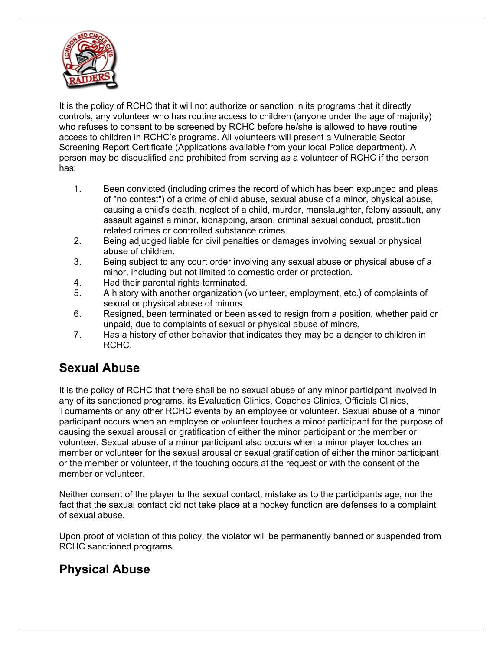

It is the policy of RCHC that it will not authorize or sanction in its programs that it directly controls, any volunteer who has routine access to children (anyone under the age of majority) who refuses to consent to be screened by RCHC before he/she is allowed to have routine access to children in RCHC's programs. All volunteers will present a Vulnerable Sector Screening Report Certificate (Applications available from your local Police department). A person may be disqualified and prohibited from serving as a volunteer of RCHC if the person has:

- 1. Been convicted (including crimes the record of which has been expunged and pleas of "no contest") of a crime of child abuse, sexual abuse of a minor, physical abuse, causing a child's death, neglect of a child, murder, manslaughter, felony assault, any assault against a minor, kidnapping, arson, criminal sexual conduct, prostitution related crimes or controlled substance crimes.
- 2. Being adjudged liable for civil penalties or damages involving sexual or physical abuse of children.
- 3. Being subject to any court order involving any sexual abuse or physical abuse of a minor, including but not limited to domestic order or protection.
- 4. Had their parental rights terminated.
- 5. A history with another organization (volunteer, employment, etc.) of complaints of sexual or physical abuse of minors.
- 6. Resigned, been terminated or been asked to resign from a position, whether paid or unpaid, due to complaints of sexual or physical abuse of minors.
- 7. Has a history of other behavior that indicates they may be a danger to children in RCHC.

### **Sexual Abuse**

It is the policy of RCHC that there shall be no sexual abuse of any minor participant involved in any of its sanctioned programs, its Evaluation Clinics, Coaches Clinics, Officials Clinics, Tournaments or any other RCHC events by an employee or volunteer. Sexual abuse of a minor participant occurs when an employee or volunteer touches a minor participant for the purpose of causing the sexual arousal or gratification of either the minor participant or the member or volunteer. Sexual abuse of a minor participant also occurs when a minor player touches an member or volunteer for the sexual arousal or sexual gratification of either the minor participant or the member or volunteer, if the touching occurs at the request or with the consent of the member or volunteer.

Neither consent of the player to the sexual contact, mistake as to the participants age, nor the fact that the sexual contact did not take place at a hockey function are defenses to a complaint of sexual abuse.

Upon proof of violation of this policy, the violator will be permanently banned or suspended from RCHC sanctioned programs.

### **Physical Abuse**